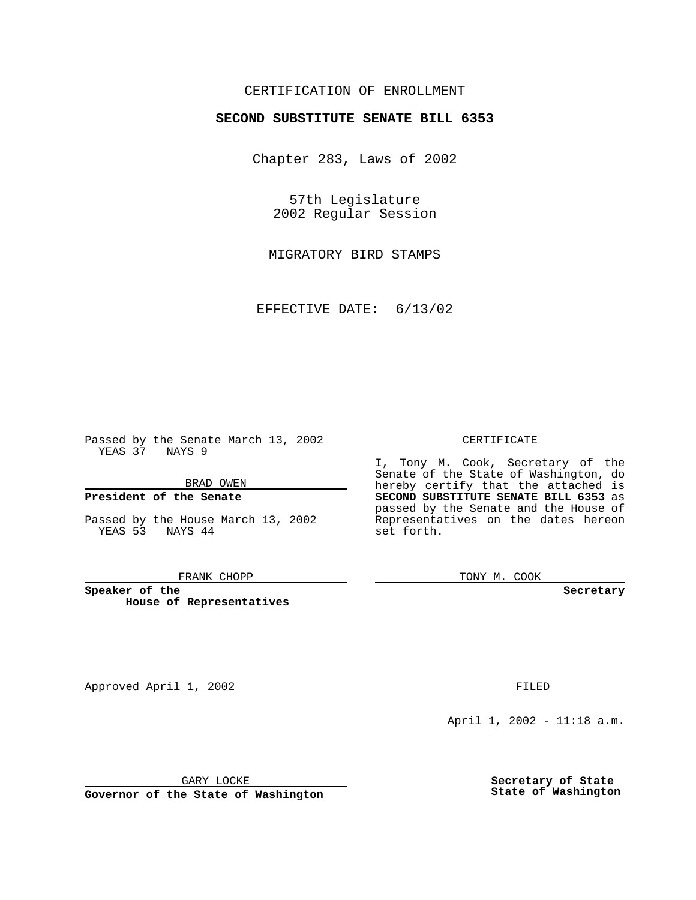# CERTIFICATION OF ENROLLMENT

# **SECOND SUBSTITUTE SENATE BILL 6353**

Chapter 283, Laws of 2002

57th Legislature 2002 Regular Session

MIGRATORY BIRD STAMPS

EFFECTIVE DATE: 6/13/02

Passed by the Senate March 13, 2002 YEAS 37 NAYS 9

BRAD OWEN

## **President of the Senate**

Passed by the House March 13, 2002 YEAS 53 NAYS 44

#### FRANK CHOPP

**Speaker of the House of Representatives**

April 1, 2002 - 11:18 a.m.

GARY LOCKE

**Governor of the State of Washington**

**Secretary of State State of Washington**

#### CERTIFICATE

I, Tony M. Cook, Secretary of the Senate of the State of Washington, do hereby certify that the attached is **SECOND SUBSTITUTE SENATE BILL 6353** as passed by the Senate and the House of Representatives on the dates hereon set forth.

TONY M. COOK

**Secretary**

Approved April 1, 2002 **FILED**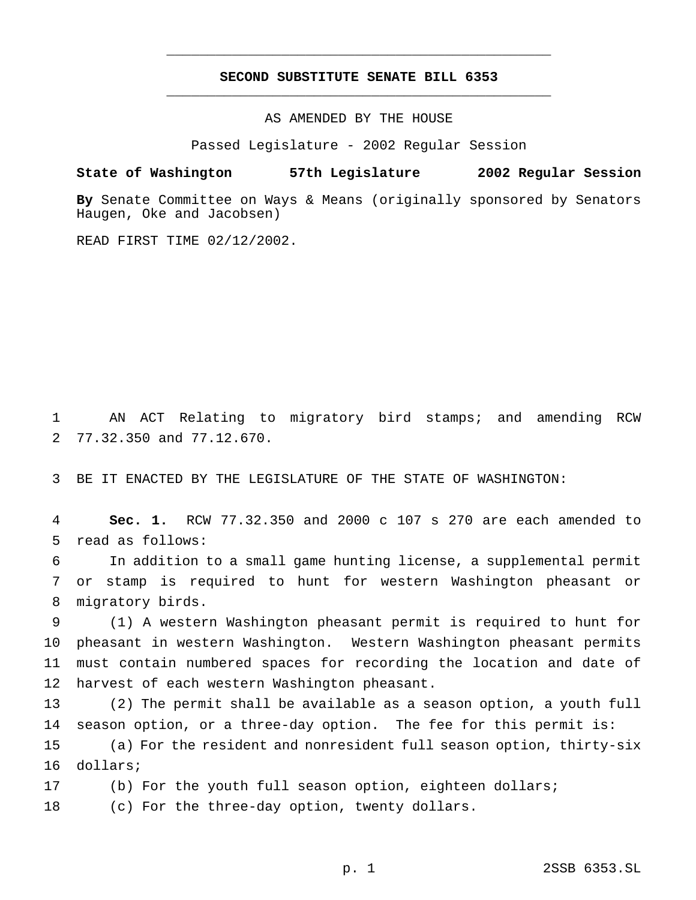# **SECOND SUBSTITUTE SENATE BILL 6353** \_\_\_\_\_\_\_\_\_\_\_\_\_\_\_\_\_\_\_\_\_\_\_\_\_\_\_\_\_\_\_\_\_\_\_\_\_\_\_\_\_\_\_\_\_\_\_

\_\_\_\_\_\_\_\_\_\_\_\_\_\_\_\_\_\_\_\_\_\_\_\_\_\_\_\_\_\_\_\_\_\_\_\_\_\_\_\_\_\_\_\_\_\_\_

AS AMENDED BY THE HOUSE

Passed Legislature - 2002 Regular Session

### **State of Washington 57th Legislature 2002 Regular Session**

**By** Senate Committee on Ways & Means (originally sponsored by Senators Haugen, Oke and Jacobsen)

READ FIRST TIME 02/12/2002.

 AN ACT Relating to migratory bird stamps; and amending RCW 77.32.350 and 77.12.670.

BE IT ENACTED BY THE LEGISLATURE OF THE STATE OF WASHINGTON:

 **Sec. 1.** RCW 77.32.350 and 2000 c 107 s 270 are each amended to read as follows:

 In addition to a small game hunting license, a supplemental permit or stamp is required to hunt for western Washington pheasant or migratory birds.

 (1) A western Washington pheasant permit is required to hunt for pheasant in western Washington. Western Washington pheasant permits must contain numbered spaces for recording the location and date of harvest of each western Washington pheasant.

 (2) The permit shall be available as a season option, a youth full season option, or a three-day option. The fee for this permit is: (a) For the resident and nonresident full season option, thirty-six dollars;

 (b) For the youth full season option, eighteen dollars; (c) For the three-day option, twenty dollars.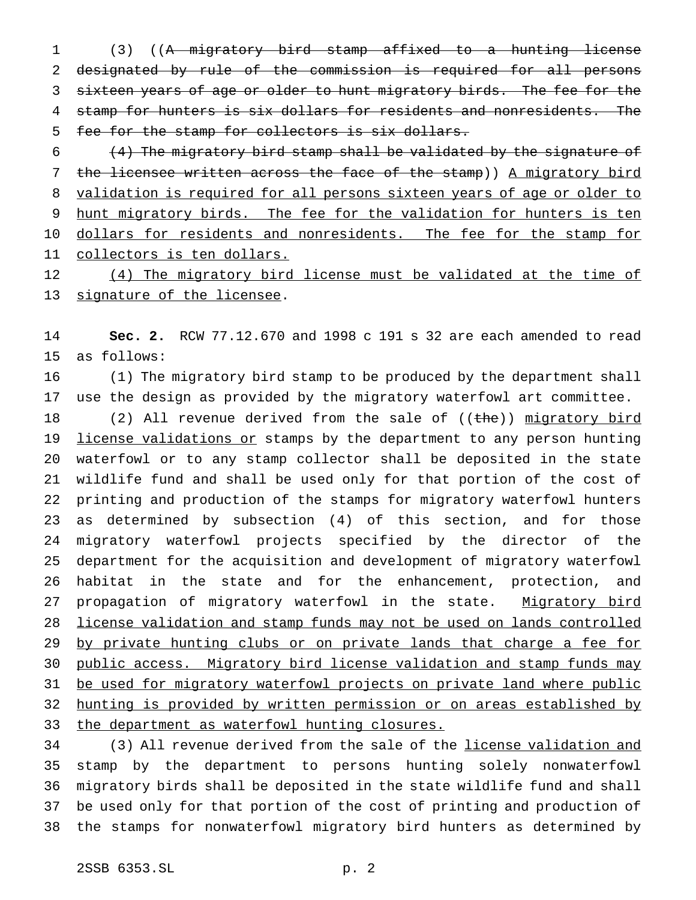(3) ((A migratory bird stamp affixed to a hunting license designated by rule of the commission is required for all persons 3 sixteen years of age or older to hunt migratory birds. The fee for the 4 stamp for hunters is six dollars for residents and nonresidents. The fee for the stamp for collectors is six dollars.

 $(4)$  The migratory bird stamp shall be validated by the signature of 7 the licensee written across the face of the stamp)) A migratory bird validation is required for all persons sixteen years of age or older to hunt migratory birds. The fee for the validation for hunters is ten 10 dollars for residents and nonresidents. The fee for the stamp for collectors is ten dollars.

12 (4) The migratory bird license must be validated at the time of signature of the licensee.

 **Sec. 2.** RCW 77.12.670 and 1998 c 191 s 32 are each amended to read as follows:

 (1) The migratory bird stamp to be produced by the department shall use the design as provided by the migratory waterfowl art committee.

18 (2) All revenue derived from the sale of ((the)) migratory bird 19 license validations or stamps by the department to any person hunting waterfowl or to any stamp collector shall be deposited in the state wildlife fund and shall be used only for that portion of the cost of printing and production of the stamps for migratory waterfowl hunters as determined by subsection (4) of this section, and for those migratory waterfowl projects specified by the director of the department for the acquisition and development of migratory waterfowl habitat in the state and for the enhancement, protection, and 27 propagation of migratory waterfowl in the state. Migratory bird license validation and stamp funds may not be used on lands controlled 29 by private hunting clubs or on private lands that charge a fee for public access. Migratory bird license validation and stamp funds may 31 be used for migratory waterfowl projects on private land where public hunting is provided by written permission or on areas established by 33 the department as waterfowl hunting closures.

 (3) All revenue derived from the sale of the license validation and stamp by the department to persons hunting solely nonwaterfowl migratory birds shall be deposited in the state wildlife fund and shall be used only for that portion of the cost of printing and production of the stamps for nonwaterfowl migratory bird hunters as determined by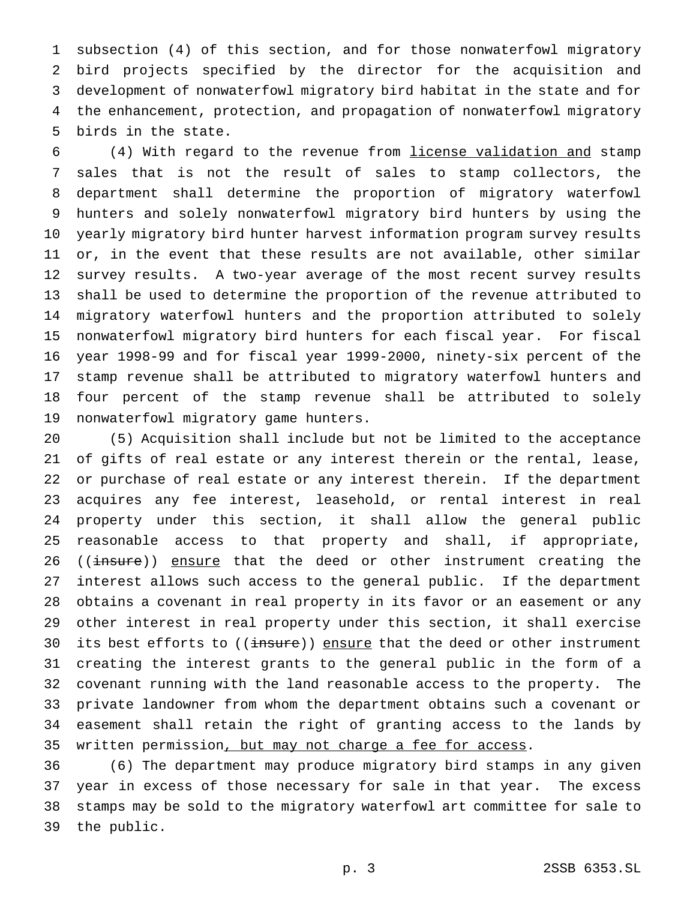subsection (4) of this section, and for those nonwaterfowl migratory bird projects specified by the director for the acquisition and development of nonwaterfowl migratory bird habitat in the state and for the enhancement, protection, and propagation of nonwaterfowl migratory birds in the state.

 (4) With regard to the revenue from license validation and stamp sales that is not the result of sales to stamp collectors, the department shall determine the proportion of migratory waterfowl hunters and solely nonwaterfowl migratory bird hunters by using the yearly migratory bird hunter harvest information program survey results or, in the event that these results are not available, other similar survey results. A two-year average of the most recent survey results shall be used to determine the proportion of the revenue attributed to migratory waterfowl hunters and the proportion attributed to solely nonwaterfowl migratory bird hunters for each fiscal year. For fiscal year 1998-99 and for fiscal year 1999-2000, ninety-six percent of the stamp revenue shall be attributed to migratory waterfowl hunters and four percent of the stamp revenue shall be attributed to solely nonwaterfowl migratory game hunters.

 (5) Acquisition shall include but not be limited to the acceptance of gifts of real estate or any interest therein or the rental, lease, or purchase of real estate or any interest therein. If the department acquires any fee interest, leasehold, or rental interest in real property under this section, it shall allow the general public reasonable access to that property and shall, if appropriate, 26 ((insure)) ensure that the deed or other instrument creating the interest allows such access to the general public. If the department obtains a covenant in real property in its favor or an easement or any other interest in real property under this section, it shall exercise 30 its best efforts to ((insure)) ensure that the deed or other instrument creating the interest grants to the general public in the form of a covenant running with the land reasonable access to the property. The private landowner from whom the department obtains such a covenant or easement shall retain the right of granting access to the lands by written permission, but may not charge a fee for access.

 (6) The department may produce migratory bird stamps in any given year in excess of those necessary for sale in that year. The excess stamps may be sold to the migratory waterfowl art committee for sale to the public.